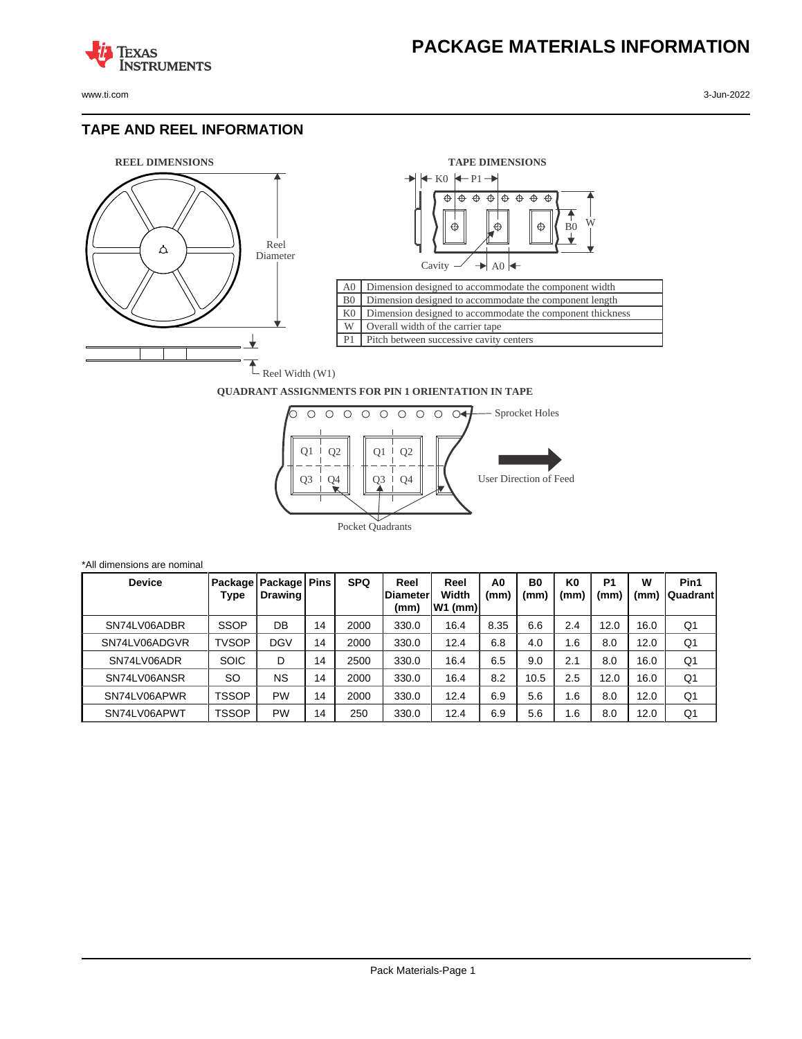

**TEXAS** 

#### **TAPE AND REEL INFORMATION**

**ISTRUMENTS** 





#### **QUADRANT ASSIGNMENTS FOR PIN 1 ORIENTATION IN TAPE**



| *All dimensions are nominal |              |                                     |    |            |                                  |                            |                        |                        |                        |                       |           |                         |
|-----------------------------|--------------|-------------------------------------|----|------------|----------------------------------|----------------------------|------------------------|------------------------|------------------------|-----------------------|-----------|-------------------------|
| <b>Device</b>               | Type         | Package   Package   Pins<br>Drawing |    | <b>SPQ</b> | Reel<br><b>IDiameter</b><br>(mm) | Reel<br>Width<br>$W1$ (mm) | A <sub>0</sub><br>(mm) | B <sub>0</sub><br>(mm) | K <sub>0</sub><br>(mm) | P <sub>1</sub><br>(mm | W<br>(mm) | Pin1<br><b>Quadrant</b> |
| SN74LV06ADBR                | <b>SSOP</b>  | DB                                  | 14 | 2000       | 330.0                            | 16.4                       | 8.35                   | 6.6                    | 2.4                    | 12.0                  | 16.0      | Q1                      |
| SN74LV06ADGVR               | <b>TVSOP</b> | <b>DGV</b>                          | 14 | 2000       | 330.0                            | 12.4                       | 6.8                    | 4.0                    | 1.6                    | 8.0                   | 12.0      | Q <sub>1</sub>          |
| SN74LV06ADR                 | <b>SOIC</b>  | D                                   | 14 | 2500       | 330.0                            | 16.4                       | 6.5                    | 9.0                    | 2.1                    | 8.0                   | 16.0      | Q <sub>1</sub>          |
| SN74LV06ANSR                | SO           | <b>NS</b>                           | 14 | 2000       | 330.0                            | 16.4                       | 8.2                    | 10.5                   | 2.5                    | 12.0                  | 16.0      | Q1                      |
| SN74LV06APWR                | TSSOP        | <b>PW</b>                           | 14 | 2000       | 330.0                            | 12.4                       | 6.9                    | 5.6                    | 1.6                    | 8.0                   | 12.0      | Q1                      |
| SN74LV06APWT                | TSSOP        | <b>PW</b>                           | 14 | 250        | 330.0                            | 12.4                       | 6.9                    | 5.6                    | 1.6                    | 8.0                   | 12.0      | Q1                      |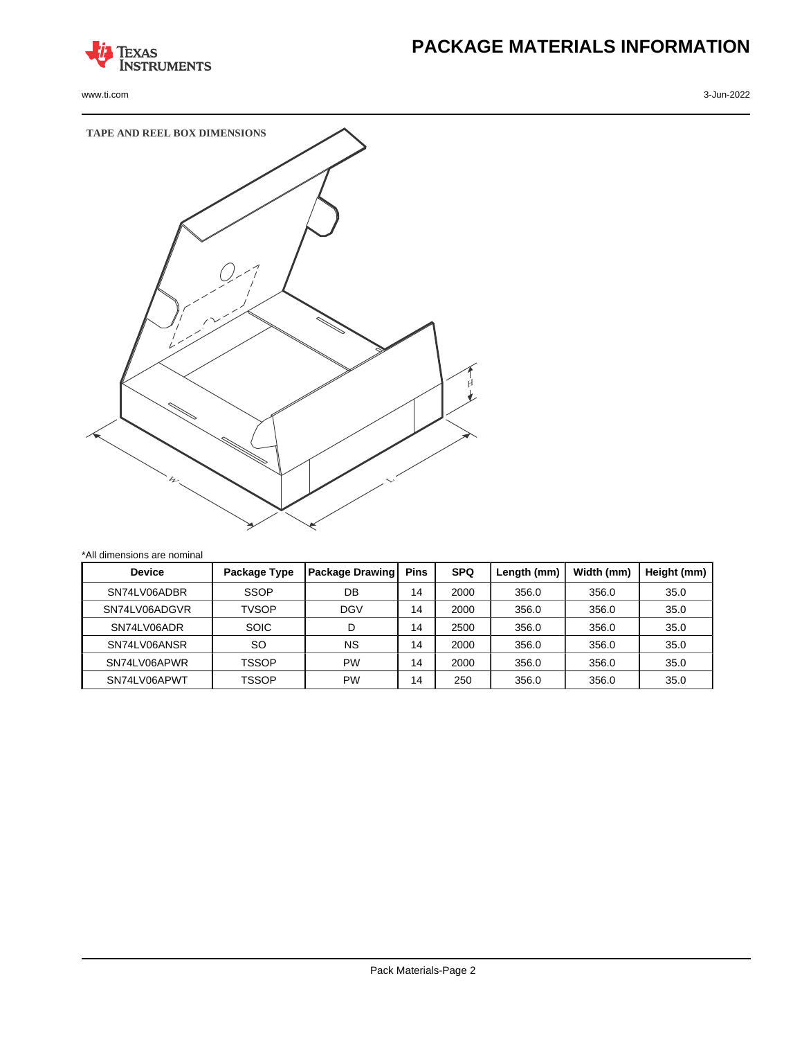

www.ti.com 3-Jun-2022

# **PACKAGE MATERIALS INFORMATION**



| dimensions are nominal |              |                        |             |            |             |            |             |
|------------------------|--------------|------------------------|-------------|------------|-------------|------------|-------------|
| <b>Device</b>          | Package Type | <b>Package Drawing</b> | <b>Pins</b> | <b>SPQ</b> | Length (mm) | Width (mm) | Height (mm) |
| SN74LV06ADBR           | <b>SSOP</b>  | DB                     | 14          | 2000       | 356.0       | 356.0      | 35.0        |
| SN74LV06ADGVR          | <b>TVSOP</b> | <b>DGV</b>             | 14          | 2000       | 356.0       | 356.0      | 35.0        |
| SN74LV06ADR            | <b>SOIC</b>  | D                      | 14          | 2500       | 356.0       | 356.0      | 35.0        |
| SN74LV06ANSR           | SO           | <b>NS</b>              | 14          | 2000       | 356.0       | 356.0      | 35.0        |
| SN74LV06APWR           | TSSOP        | <b>PW</b>              | 14          | 2000       | 356.0       | 356.0      | 35.0        |

SN74LV06APWT | TSSOP | PW | 14 | 250 | 356.0 | 356.0 | 35.0